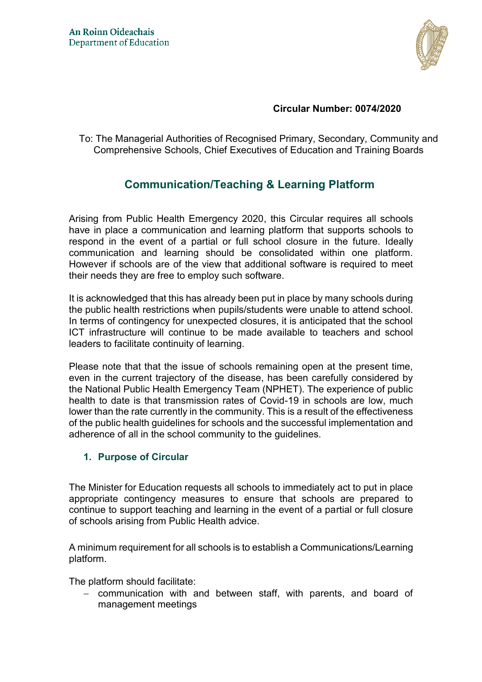

## **Circular Number: 0074/2020**

To: The Managerial Authorities of Recognised Primary, Secondary, Community and Comprehensive Schools, Chief Executives of Education and Training Boards

# **Communication/Teaching & Learning Platform**

Arising from Public Health Emergency 2020, this Circular requires all schools have in place a communication and learning platform that supports schools to respond in the event of a partial or full school closure in the future. Ideally communication and learning should be consolidated within one platform. However if schools are of the view that additional software is required to meet their needs they are free to employ such software.

It is acknowledged that this has already been put in place by many schools during the public health restrictions when pupils/students were unable to attend school. In terms of contingency for unexpected closures, it is anticipated that the school ICT infrastructure will continue to be made available to teachers and school leaders to facilitate continuity of learning.

Please note that that the issue of schools remaining open at the present time, even in the current trajectory of the disease, has been carefully considered by the National Public Health Emergency Team (NPHET). The experience of public health to date is that transmission rates of Covid-19 in schools are low, much lower than the rate currently in the community. This is a result of the effectiveness of the public health guidelines for schools and the successful implementation and adherence of all in the school community to the guidelines.

## **1. Purpose of Circular**

The Minister for Education requests all schools to immediately act to put in place appropriate contingency measures to ensure that schools are prepared to continue to support teaching and learning in the event of a partial or full closure of schools arising from Public Health advice.

A minimum requirement for all schools is to establish a Communications/Learning platform.

The platform should facilitate:

- communication with and between staff, with parents, and board of management meetings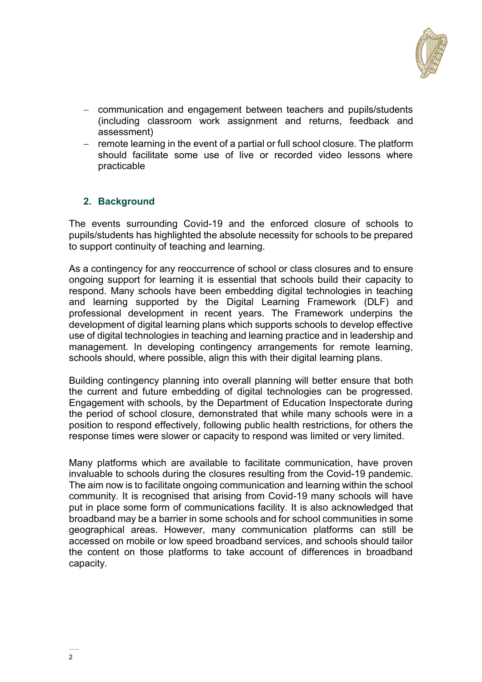

- communication and engagement between teachers and pupils/students (including classroom work assignment and returns, feedback and assessment)
- remote learning in the event of a partial or full school closure. The platform should facilitate some use of live or recorded video lessons where practicable

## **2. Background**

The events surrounding Covid-19 and the enforced closure of schools to pupils/students has highlighted the absolute necessity for schools to be prepared to support continuity of teaching and learning.

As a contingency for any reoccurrence of school or class closures and to ensure ongoing support for learning it is essential that schools build their capacity to respond. Many schools have been embedding digital technologies in teaching and learning supported by the Digital Learning Framework (DLF) and professional development in recent years. The Framework underpins the development of digital learning plans which supports schools to develop effective use of digital technologies in teaching and learning practice and in leadership and management. In developing contingency arrangements for remote learning, schools should, where possible, align this with their digital learning plans.

Building contingency planning into overall planning will better ensure that both the current and future embedding of digital technologies can be progressed. Engagement with schools, by the Department of Education Inspectorate during the period of school closure, demonstrated that while many schools were in a position to respond effectively, following public health restrictions, for others the response times were slower or capacity to respond was limited or very limited.

Many platforms which are available to facilitate communication, have proven invaluable to schools during the closures resulting from the Covid-19 pandemic. The aim now is to facilitate ongoing communication and learning within the school community. It is recognised that arising from Covid-19 many schools will have put in place some form of communications facility. It is also acknowledged that broadband may be a barrier in some schools and for school communities in some geographical areas. However, many communication platforms can still be accessed on mobile or low speed broadband services, and schools should tailor the content on those platforms to take account of differences in broadband capacity.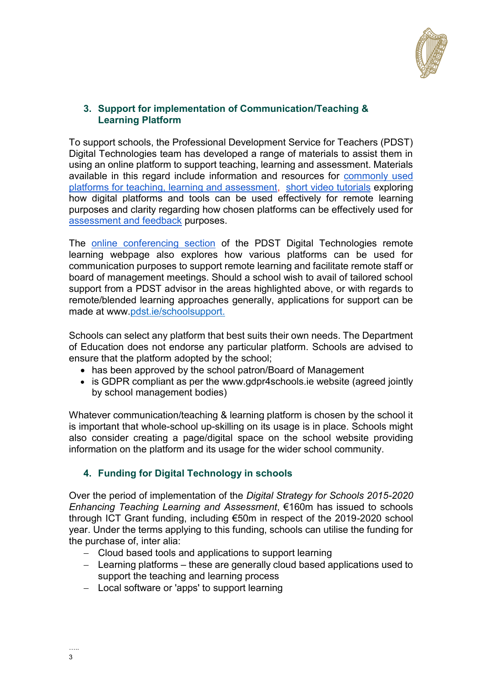

## **3. Support for implementation of Communication/Teaching & Learning Platform**

To support schools, the Professional Development Service for Teachers (PDST) Digital Technologies team has developed a range of materials to assist them in using an online platform to support teaching, learning and assessment. Materials available in this regard include information and resources for [commonly used](https://www.pdst.ie/DistanceLearning/DigTech)  [platforms for teaching, learning and assessment,](https://www.pdst.ie/DistanceLearning/DigTech) [short video tutorials](https://www.pdst.ie/DistanceLearning/onlinetoolstutorials) exploring how digital platforms and tools can be used effectively for remote learning purposes and clarity regarding how chosen platforms can be effectively used for [assessment and feedback](https://www.pdst.ie/DistanceLearning/AssessmentandFeedback) purposes.

The [online conferencing section](https://www.pdst.ie/DistanceLearning/VideoConferencing) of the PDST Digital Technologies remote learning webpage also explores how various platforms can be used for communication purposes to support remote learning and facilitate remote staff or board of management meetings. Should a school wish to avail of tailored school support from a PDST advisor in the areas highlighted above, or with regards to remote/blended learning approaches generally, applications for support can be made at www[.pdst.ie/schoolsupport.](http://pdst.ie/schoolsupport)

Schools can select any platform that best suits their own needs. The Department of Education does not endorse any particular platform. Schools are advised to ensure that the platform adopted by the school;

- has been approved by the school patron/Board of Management
- is GDPR compliant as per the [www.gdpr4schools.ie](http://www.gdpr4schools.ie/) website (agreed jointly by school management bodies)

Whatever communication/teaching & learning platform is chosen by the school it is important that whole-school up-skilling on its usage is in place. Schools might also consider creating a page/digital space on the school website providing information on the platform and its usage for the wider school community.

## **4. Funding for Digital Technology in schools**

Over the period of implementation of the *Digital Strategy for Schools 2015-2020 Enhancing Teaching Learning and Assessment*, €160m has issued to schools through ICT Grant funding, including €50m in respect of the 2019-2020 school year. Under the terms applying to this funding, schools can utilise the funding for the purchase of, inter alia:

- Cloud based tools and applications to support learning
- Learning platforms these are generally cloud based applications used to support the teaching and learning process
- Local software or 'apps' to support learning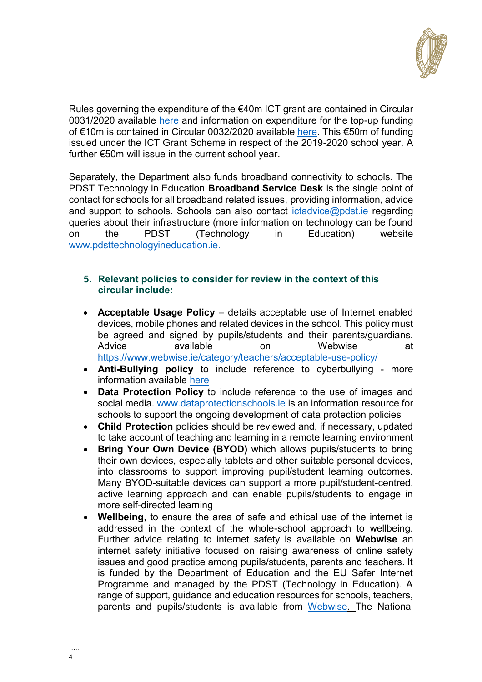

Rules governing the expenditure of the €40m ICT grant are contained in Circular 0031/2020 available [here](https://www.gov.ie/en/circular/297e8f-grant-scheme-for-ict-infrastructure-20192020-school-year/) and information on expenditure for the top-up funding of €10m is contained in Circular 0032/2020 available [here.](https://www.gov.ie/en/circular/06b3d8-grant-scheme-for-ict-infrastructure-20192020-school-year-10m-funding/) This €50m of funding issued under the ICT Grant Scheme in respect of the 2019-2020 school year. A further €50m will issue in the current school year.

Separately, the Department also funds broadband connectivity to schools. The PDST Technology in Education **[Broadband Service Desk](https://www.pdsttechnologyineducation.ie/en/Technology/Schools-Broadband/Broadband-Service-Desk)** is the single point of contact for schools for all broadband related issues, providing information, advice and support to schools. Schools can also contact [ictadvice@pdst.ie](mailto:ictadvice@pdst.ie) regarding queries about their infrastructure (more information on technology can be found on the PDST (Technology in Education) website [www.pdsttechnologyineducation.ie.](https://www.pdsttechnologyineducation.ie/en/)

## **5. Relevant policies to consider for review in the context of this circular include:**

- **Acceptable Usage Policy** details acceptable use of Internet enabled devices, mobile phones and related devices in the school. This policy must be agreed and signed by pupils/students and their parents/guardians. Advice available on Webwise at <https://www.webwise.ie/category/teachers/acceptable-use-policy/>
- **Anti-Bullying policy** to include reference to cyberbullying more information available [here](http://www.tacklebullying.ie/)
- **Data Protection Policy** to include reference to the use of images and social media. [www.dataprotectionschools.ie](http://www.dataprotectionschools.ie/) is an information resource for schools to support the ongoing development of data protection policies
- **Child Protection** policies should be reviewed and, if necessary, updated to take account of teaching and learning in a remote learning environment
- **Bring Your Own Device (BYOD)** which allows pupils/students to bring their own devices, especially tablets and other suitable personal devices, into classrooms to support improving pupil/student learning outcomes. Many BYOD-suitable devices can support a more pupil/student-centred, active learning approach and can enable pupils/students to engage in more self-directed learning
- **Wellbeing**, to ensure the area of safe and ethical use of the internet is addressed in the context of the whole-school approach to wellbeing. Further advice relating to internet safety is available on **Webwise** an internet safety initiative focused on raising awareness of online safety issues and good practice among pupils/students, parents and teachers. It is funded by the Department of Education and the EU Safer Internet Programme and managed by the PDST (Technology in Education). A range of support, guidance and education resources for schools, teachers, parents and pupils/students is available from [Webwise.](http://www.webwise.ie/) The National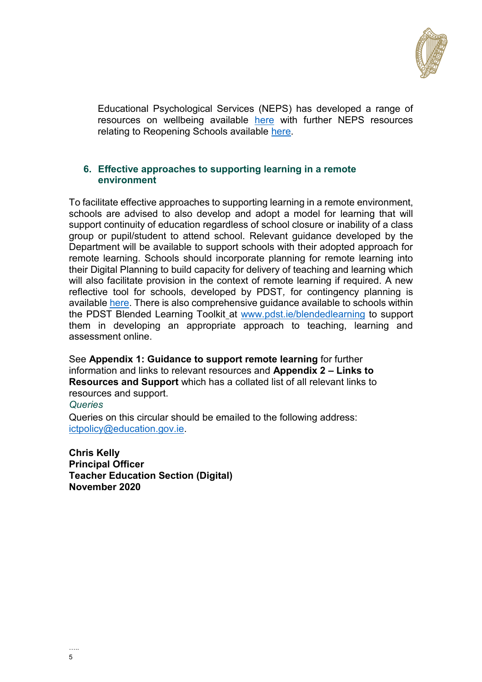

Educational Psychological Services (NEPS) has developed a range of resources on wellbeing available [here](https://www.education.ie/covid19/wellbeing/) with further NEPS resources relating to Reopening Schools available [here.](https://www.gov.ie/en/publication/0722b-wellbeing-resources/)

## **6. Effective approaches to supporting learning in a remote environment**

To facilitate effective approaches to supporting learning in a remote environment, schools are advised to also develop and adopt a model for learning that will support continuity of education regardless of school closure or inability of a class group or pupil/student to attend school. Relevant guidance developed by the Department will be available to support schools with their adopted approach for remote learning. Schools should incorporate planning for remote learning into their Digital Planning to build capacity for delivery of teaching and learning which will also facilitate provision in the context of remote learning if required. A new reflective tool for schools, developed by PDST*,* for contingency planning is available [here.](http://www.pdst.ie/blendedlearning) There is also comprehensive guidance available to schools within the PDST Blended Learning Toolkit\_at [www.pdst.ie/blendedlearning](http://www.pdst.ie/blendedlearning) to support them in developing an appropriate approach to teaching, learning and assessment online.

See **Appendix 1: Guidance to support remote learning** for further information and links to relevant resources and **Appendix 2 – Links to Resources and Support** which has a collated list of all relevant links to resources and support.

## *Queries*

Queries on this circular should be emailed to the following address: [ictpolicy@education.gov.ie.](mailto:ictpolicy@education.gov.ie)

**Chris Kelly Principal Officer Teacher Education Section (Digital) November 2020**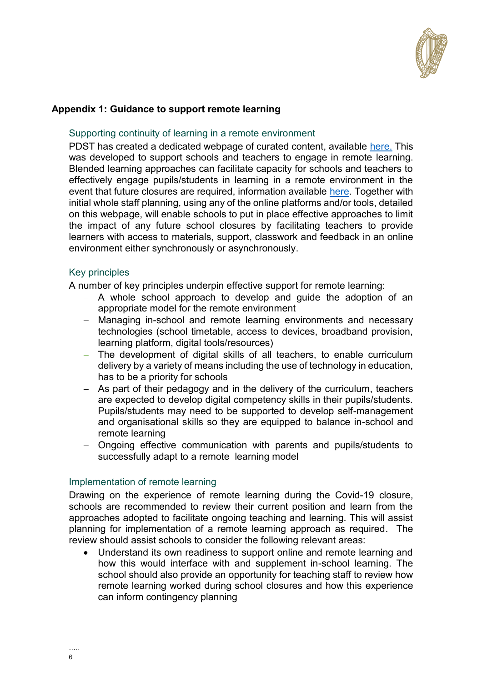

## **Appendix 1: Guidance to support remote learning**

#### Supporting continuity of learning in a remote environment

PDST has created a dedicated webpage of curated content, available [here.](https://www.pdst.ie/DistanceLearning) This was developed to support schools and teachers to engage in remote learning. Blended learning approaches can facilitate capacity for schools and teachers to effectively engage pupils/students in learning in a remote environment in the event that future closures are required, information available [here.](https://pdst.ie/blendedlearning) Together with initial whole staff planning, using any of the online platforms and/or tools, detailed on this webpage, will enable schools to put in place effective approaches to limit the impact of any future school closures by facilitating teachers to provide learners with access to materials, support, classwork and feedback in an online environment either synchronously or asynchronously.

#### Key principles

A number of key principles underpin effective support for remote learning:

- A whole school approach to develop and guide the adoption of an appropriate model for the remote environment
- Managing in-school and remote learning environments and necessary technologies (school timetable, access to devices, broadband provision, learning platform, digital tools/resources)
- The development of digital skills of all teachers, to enable curriculum delivery by a variety of means including the use of technology in education, has to be a priority for schools
- As part of their pedagogy and in the delivery of the curriculum, teachers are expected to develop digital competency skills in their pupils/students. Pupils/students may need to be supported to develop self-management and organisational skills so they are equipped to balance in-school and remote learning
- Ongoing effective communication with parents and pupils/students to successfully adapt to a remote learning model

#### Implementation of remote learning

Drawing on the experience of remote learning during the Covid-19 closure, schools are recommended to review their current position and learn from the approaches adopted to facilitate ongoing teaching and learning. This will assist planning for implementation of a remote learning approach as required. The review should assist schools to consider the following relevant areas:

 Understand its own readiness to support online and remote learning and how this would interface with and supplement in-school learning. The school should also provide an opportunity for teaching staff to review how remote learning worked during school closures and how this experience can inform contingency planning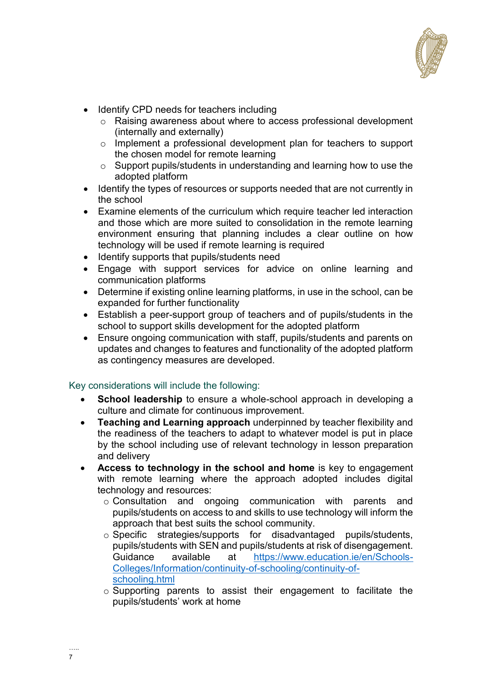

- Identify CPD needs for teachers including
	- o Raising awareness about where to access professional development (internally and externally)
	- o Implement a professional development plan for teachers to support the chosen model for remote learning
	- o Support pupils/students in understanding and learning how to use the adopted platform
- Identify the types of resources or supports needed that are not currently in the school
- Examine elements of the curriculum which require teacher led interaction and those which are more suited to consolidation in the remote learning environment ensuring that planning includes a clear outline on how technology will be used if remote learning is required
- Identify supports that pupils/students need
- Engage with support services for advice on online learning and communication platforms
- Determine if existing online learning platforms, in use in the school, can be expanded for further functionality
- Establish a peer-support group of teachers and of pupils/students in the school to support skills development for the adopted platform
- Ensure ongoing communication with staff, pupils/students and parents on updates and changes to features and functionality of the adopted platform as contingency measures are developed.

## Key considerations will include the following:

- **School leadership** to ensure a whole-school approach in developing a culture and climate for continuous improvement.
- **Teaching and Learning approach** underpinned by teacher flexibility and the readiness of the teachers to adapt to whatever model is put in place by the school including use of relevant technology in lesson preparation and delivery
- **Access to technology in the school and home** is key to engagement with remote learning where the approach adopted includes digital technology and resources:
	- o Consultation and ongoing communication with parents and pupils/students on access to and skills to use technology will inform the approach that best suits the school community.
	- o Specific strategies/supports for disadvantaged pupils/students, pupils/students with SEN and pupils/students at risk of disengagement. Guidance available at [https://www.education.ie/en/Schools-](https://www.education.ie/en/Schools-Colleges/Information/continuity-of-schooling/continuity-of-schooling.html)[Colleges/Information/continuity-of-schooling/continuity-of](https://www.education.ie/en/Schools-Colleges/Information/continuity-of-schooling/continuity-of-schooling.html)[schooling.html](https://www.education.ie/en/Schools-Colleges/Information/continuity-of-schooling/continuity-of-schooling.html)
	- $\circ$  Supporting parents to assist their engagement to facilitate the pupils/students' work at home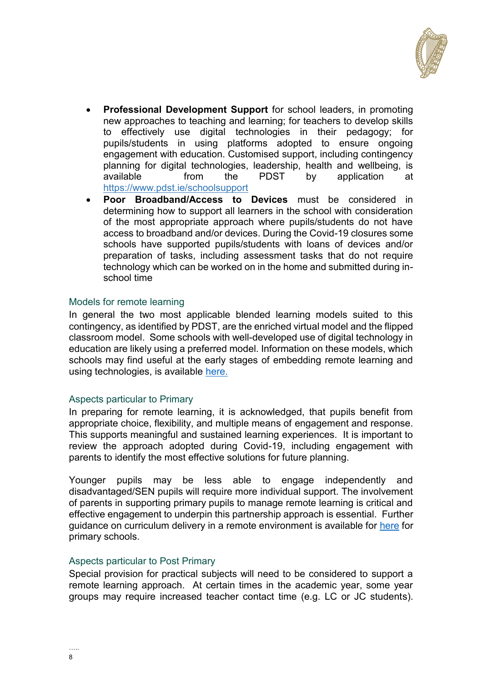

- **Professional Development Support** for school leaders, in promoting new approaches to teaching and learning; for teachers to develop skills to effectively use digital technologies in their pedagogy; for pupils/students in using platforms adopted to ensure ongoing engagement with education. Customised support, including contingency planning for digital technologies, leadership, health and wellbeing, is available from the PDST by application at <https://www.pdst.ie/schoolsupport>
- **Poor Broadband/Access to Devices** must be considered in determining how to support all learners in the school with consideration of the most appropriate approach where pupils/students do not have access to broadband and/or devices. During the Covid-19 closures some schools have supported pupils/students with loans of devices and/or preparation of tasks, including assessment tasks that do not require technology which can be worked on in the home and submitted during inschool time

#### Models for remote learning

In general the two most applicable blended learning models suited to this contingency, as identified by PDST, are the enriched virtual model and the flipped classroom model. Some schools with well-developed use of digital technology in education are likely using a preferred model. Information on these models, which schools may find useful at the early stages of embedding remote learning and using technologies, is available [here.](http://www.pdst.ie/blendedlearning)

#### Aspects particular to Primary

In preparing for remote learning, it is acknowledged, that pupils benefit from appropriate choice, flexibility, and multiple means of engagement and response. This supports meaningful and sustained learning experiences. It is important to review the approach adopted during Covid-19, including engagement with parents to identify the most effective solutions for future planning.

Younger pupils may be less able to engage independently and disadvantaged/SEN pupils will require more individual support. The involvement of parents in supporting primary pupils to manage remote learning is critical and effective engagement to underpin this partnership approach is essential. Further guidance on curriculum delivery in a remote environment is available for [here](https://www.gov.ie/en/publication/a0bff-reopening-our-primary-and-special-schools/) for primary schools.

## Aspects particular to Post Primary

Special provision for practical subjects will need to be considered to support a remote learning approach. At certain times in the academic year, some year groups may require increased teacher contact time (e.g. LC or JC students).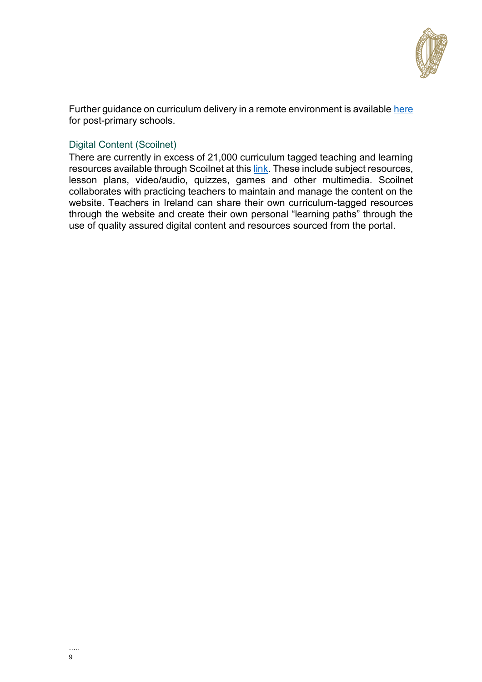

Further guidance on curriculum delivery in a remote environment is available [here](https://www.gov.ie/en/publication/7acad-reopening-our-post-primary-schools/) for post-primary schools.

## Digital Content (Scoilnet)

There are currently in excess of 21,000 curriculum tagged teaching and learning resources available through Scoilnet at this [link.](http://www.scoilnet.ie/) These include subject resources, lesson plans, video/audio, quizzes, games and other multimedia. Scoilnet collaborates with practicing teachers to maintain and manage the content on the website. Teachers in Ireland can share their own curriculum-tagged resources through the website and create their own personal "learning paths" through the use of quality assured digital content and resources sourced from the portal.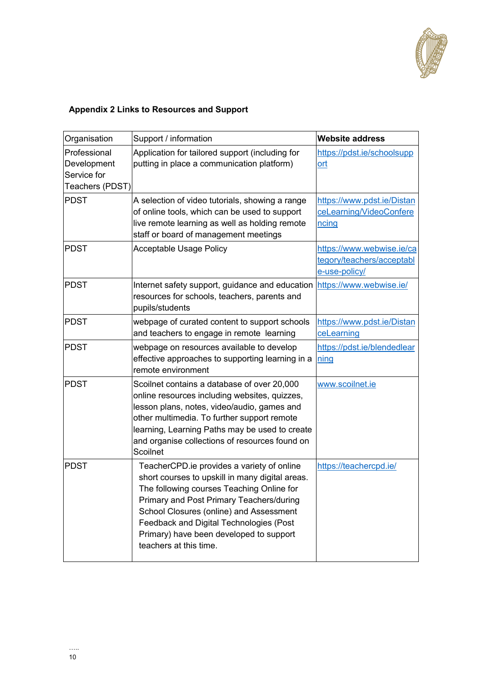

## **Appendix 2 Links to Resources and Support**

| Organisation                                                  | Support / information                                                                                                                                                                                                                                                                                                                             | <b>Website address</b>                                                  |
|---------------------------------------------------------------|---------------------------------------------------------------------------------------------------------------------------------------------------------------------------------------------------------------------------------------------------------------------------------------------------------------------------------------------------|-------------------------------------------------------------------------|
| Professional<br>Development<br>Service for<br>Teachers (PDST) | Application for tailored support (including for<br>putting in place a communication platform)                                                                                                                                                                                                                                                     | https://pdst.ie/schoolsupp<br><u>ort</u>                                |
| <b>PDST</b>                                                   | A selection of video tutorials, showing a range<br>of online tools, which can be used to support<br>live remote learning as well as holding remote<br>staff or board of management meetings                                                                                                                                                       | https://www.pdst.ie/Distan<br>ceLearning/VideoConfere<br>ncing          |
| PDST                                                          | <b>Acceptable Usage Policy</b>                                                                                                                                                                                                                                                                                                                    | https://www.webwise.ie/ca<br>tegory/teachers/acceptabl<br>e-use-policy/ |
| <b>PDST</b>                                                   | Internet safety support, guidance and education<br>resources for schools, teachers, parents and<br>pupils/students                                                                                                                                                                                                                                | https://www.webwise.ie/                                                 |
| <b>PDST</b>                                                   | webpage of curated content to support schools<br>and teachers to engage in remote learning                                                                                                                                                                                                                                                        | https://www.pdst.ie/Distan<br>ceLearning                                |
| <b>PDST</b>                                                   | webpage on resources available to develop<br>effective approaches to supporting learning in a<br>remote environment                                                                                                                                                                                                                               | https://pdst.ie/blendedlear<br>ning                                     |
| <b>PDST</b>                                                   | Scoilnet contains a database of over 20,000<br>online resources including websites, quizzes,<br>lesson plans, notes, video/audio, games and<br>other multimedia. To further support remote<br>learning, Learning Paths may be used to create<br>and organise collections of resources found on<br>Scoilnet                                        | www.scoilnet.ie                                                         |
| <b>PDST</b>                                                   | TeacherCPD.ie provides a variety of online<br>short courses to upskill in many digital areas.<br>The following courses Teaching Online for<br>Primary and Post Primary Teachers/during<br>School Closures (online) and Assessment<br>Feedback and Digital Technologies (Post<br>Primary) have been developed to support<br>teachers at this time. | https://teachercpd.ie/                                                  |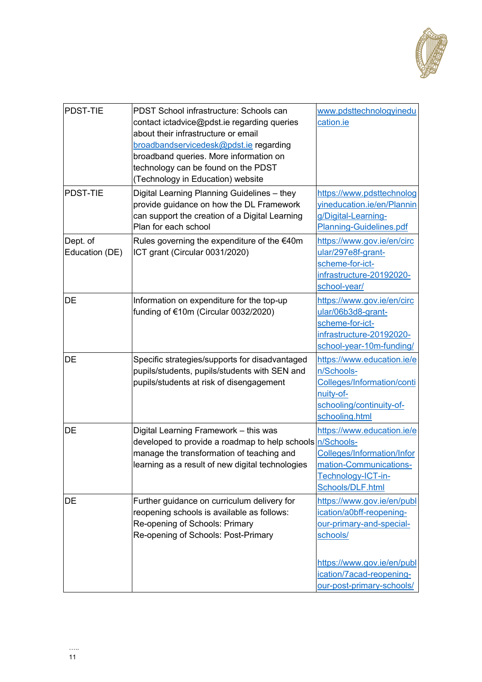

| <b>PDST-TIE</b>            | PDST School infrastructure: Schools can<br>contact ictadvice@pdst.ie regarding queries<br>about their infrastructure or email<br>broadbandservicedesk@pdst.ie regarding<br>broadband queries. More information on<br>technology can be found on the PDST<br>(Technology in Education) website | www.pdsttechnologyinedu<br>cation.ie                                                                                                                     |
|----------------------------|-----------------------------------------------------------------------------------------------------------------------------------------------------------------------------------------------------------------------------------------------------------------------------------------------|----------------------------------------------------------------------------------------------------------------------------------------------------------|
| <b>PDST-TIE</b>            | Digital Learning Planning Guidelines - they<br>provide guidance on how the DL Framework<br>can support the creation of a Digital Learning<br>Plan for each school                                                                                                                             | https://www.pdsttechnolog<br>vineducation.ie/en/Plannin<br>g/Digital-Learning-<br>Planning-Guidelines.pdf                                                |
| Dept. of<br>Education (DE) | Rules governing the expenditure of the €40m<br>ICT grant (Circular 0031/2020)                                                                                                                                                                                                                 | https://www.gov.ie/en/circ<br>ular/297e8f-grant-<br>scheme-for-ict-<br>infrastructure-20192020-<br>school-year/                                          |
| <b>DE</b>                  | Information on expenditure for the top-up<br>funding of €10m (Circular 0032/2020)                                                                                                                                                                                                             | https://www.gov.ie/en/circ<br>ular/06b3d8-grant-<br>scheme-for-ict-<br>infrastructure-20192020-<br>school-year-10m-funding/                              |
| <b>DE</b>                  | Specific strategies/supports for disadvantaged<br>pupils/students, pupils/students with SEN and<br>pupils/students at risk of disengagement                                                                                                                                                   | https://www.education.ie/e<br>n/Schools-<br>Colleges/Information/conti<br>nuity-of-<br>schooling/continuity-of-<br>schooling.html                        |
| DE                         | Digital Learning Framework - this was<br>developed to provide a roadmap to help schools<br>manage the transformation of teaching and<br>learning as a result of new digital technologies                                                                                                      | https://www.education.ie/e<br>n/Schools-<br><b>Colleges/Information/Infor</b><br>mation-Communications-<br>Technology-ICT-in-<br>Schools/DLF.html        |
| DE                         | Further guidance on curriculum delivery for<br>reopening schools is available as follows:<br>Re-opening of Schools: Primary<br>Re-opening of Schools: Post-Primary                                                                                                                            | https://www.gov.ie/en/publ<br>ication/a0bff-reopening-<br>our-primary-and-special-<br>schools/<br>https://www.gov.ie/en/publ<br>ication/7acad-reopening- |
|                            |                                                                                                                                                                                                                                                                                               | our-post-primary-schools/                                                                                                                                |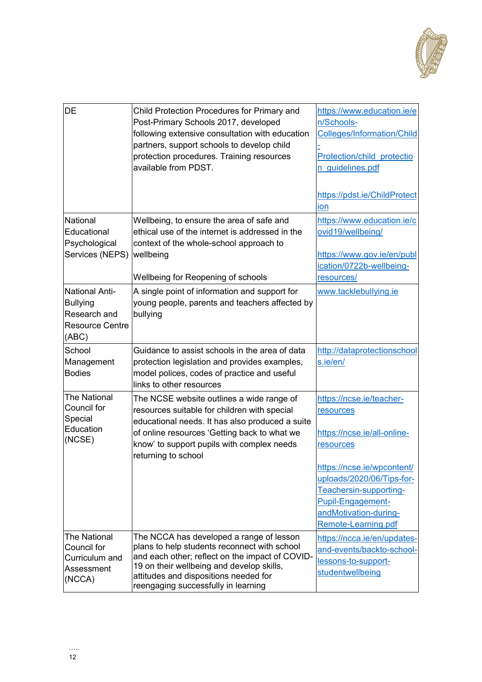

| <b>DE</b>                     | Child Protection Procedures for Primary and<br>Post-Primary Schools 2017, developed<br>following extensive consultation with education<br>partners, support schools to develop child<br>protection procedures. Training resources<br>available from PDST. | https://www.education.ie/e<br>n/Schools-<br><b>Colleges/Information/Child</b><br>Protection/child protectio<br>n guidelines.pdf<br>https://pdst.ie/ChildProtect<br>ion |
|-------------------------------|-----------------------------------------------------------------------------------------------------------------------------------------------------------------------------------------------------------------------------------------------------------|------------------------------------------------------------------------------------------------------------------------------------------------------------------------|
|                               |                                                                                                                                                                                                                                                           |                                                                                                                                                                        |
| National                      | Wellbeing, to ensure the area of safe and                                                                                                                                                                                                                 | https://www.education.ie/c                                                                                                                                             |
| Educational                   | ethical use of the internet is addressed in the                                                                                                                                                                                                           | ovid19/wellbeing/                                                                                                                                                      |
| Psychological                 | context of the whole-school approach to                                                                                                                                                                                                                   |                                                                                                                                                                        |
| Services (NEPS)               | wellbeing                                                                                                                                                                                                                                                 | https://www.gov.ie/en/publ                                                                                                                                             |
|                               |                                                                                                                                                                                                                                                           | ication/0722b-wellbeing-                                                                                                                                               |
|                               | Wellbeing for Reopening of schools                                                                                                                                                                                                                        | resources/                                                                                                                                                             |
| <b>National Anti-</b>         | A single point of information and support for                                                                                                                                                                                                             | www.tacklebullying.ie                                                                                                                                                  |
| <b>Bullying</b>               | young people, parents and teachers affected by                                                                                                                                                                                                            |                                                                                                                                                                        |
| Research and                  | bullying                                                                                                                                                                                                                                                  |                                                                                                                                                                        |
| <b>Resource Centre</b>        |                                                                                                                                                                                                                                                           |                                                                                                                                                                        |
| (ABC)                         |                                                                                                                                                                                                                                                           |                                                                                                                                                                        |
| School                        | Guidance to assist schools in the area of data                                                                                                                                                                                                            | http://dataprotectionschool                                                                                                                                            |
| Management                    | protection legislation and provides examples,                                                                                                                                                                                                             | s.ie/en/                                                                                                                                                               |
| <b>Bodies</b>                 | model polices, codes of practice and useful                                                                                                                                                                                                               |                                                                                                                                                                        |
|                               | links to other resources                                                                                                                                                                                                                                  |                                                                                                                                                                        |
| <b>The National</b>           | The NCSE website outlines a wide range of                                                                                                                                                                                                                 | https://ncse.ie/teacher-                                                                                                                                               |
| Council for                   | resources suitable for children with special                                                                                                                                                                                                              | resources                                                                                                                                                              |
| Special                       | educational needs. It has also produced a suite                                                                                                                                                                                                           |                                                                                                                                                                        |
| Education                     | of online resources 'Getting back to what we                                                                                                                                                                                                              | https://ncse.ie/all-online-                                                                                                                                            |
| (NCSE)                        | know' to support pupils with complex needs                                                                                                                                                                                                                | resources                                                                                                                                                              |
|                               | returning to school                                                                                                                                                                                                                                       |                                                                                                                                                                        |
|                               |                                                                                                                                                                                                                                                           | https://ncse.ie/wpcontent/                                                                                                                                             |
|                               |                                                                                                                                                                                                                                                           | uploads/2020/06/Tips-for-                                                                                                                                              |
|                               |                                                                                                                                                                                                                                                           | Teachersin-supporting-                                                                                                                                                 |
|                               |                                                                                                                                                                                                                                                           | Pupil-Engagement-                                                                                                                                                      |
|                               |                                                                                                                                                                                                                                                           | andMotivation-during-                                                                                                                                                  |
|                               |                                                                                                                                                                                                                                                           | Remote-Learning.pdf                                                                                                                                                    |
| <b>The National</b>           | The NCCA has developed a range of lesson                                                                                                                                                                                                                  | https://ncca.ie/en/updates-                                                                                                                                            |
| Council for<br>Curriculum and | plans to help students reconnect with school<br>and each other; reflect on the impact of COVID-<br>19 on their wellbeing and develop skills,                                                                                                              | and-events/backto-school-                                                                                                                                              |
|                               |                                                                                                                                                                                                                                                           | lessons-to-support-                                                                                                                                                    |
| Assessment                    | attitudes and dispositions needed for                                                                                                                                                                                                                     | studentwellbeing                                                                                                                                                       |
| (NCCA)                        | reengaging successfully in learning                                                                                                                                                                                                                       |                                                                                                                                                                        |